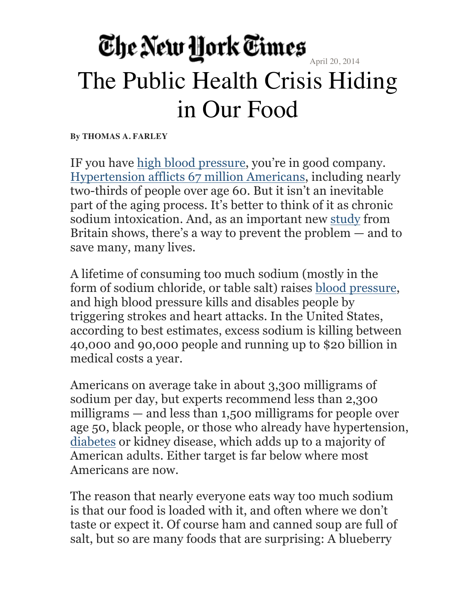#### The New York Times The Public Health Crisis Hiding in Our Food

**By THOMAS A. FARLEY**

IF you have high blood pressure, you're in good company. Hypertension afflicts 67 million Americans, including nearly two-thirds of people over age 60. But it isn't an inevitable part of the aging process. It's better to think of it as chronic sodium intoxication. And, as an important new study from Britain shows, there's a way to prevent the problem — and to save many, many lives.

A lifetime of consuming too much sodium (mostly in the form of sodium chloride, or table salt) raises blood pressure, and high blood pressure kills and disables people by triggering strokes and heart attacks. In the United States, according to best estimates, excess sodium is killing between 40,000 and 90,000 people and running up to \$20 billion in medical costs a year.

Americans on average take in about 3,300 milligrams of sodium per day, but experts recommend less than 2,300 milligrams — and less than 1,500 milligrams for people over age 50, black people, or those who already have hypertension, diabetes or kidney disease, which adds up to a majority of American adults. Either target is far below where most Americans are now.

The reason that nearly everyone eats way too much sodium is that our food is loaded with it, and often where we don't taste or expect it. Of course ham and canned soup are full of salt, but so are many foods that are surprising: A blueberry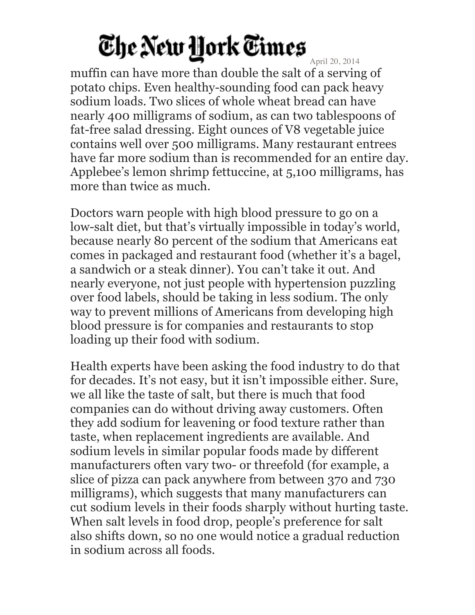April 20, 2014

muffin can have more than double the salt of a serving of potato chips. Even healthy-sounding food can pack heavy sodium loads. Two slices of whole wheat bread can have nearly 400 milligrams of sodium, as can two tablespoons of fat-free salad dressing. Eight ounces of V8 vegetable juice contains well over 500 milligrams. Many restaurant entrees have far more sodium than is recommended for an entire day. Applebee's lemon shrimp fettuccine, at 5,100 milligrams, has more than twice as much.

Doctors warn people with high blood pressure to go on a low-salt diet, but that's virtually impossible in today's world, because nearly 80 percent of the sodium that Americans eat comes in packaged and restaurant food (whether it's a bagel, a sandwich or a steak dinner). You can't take it out. And nearly everyone, not just people with hypertension puzzling over food labels, should be taking in less sodium. The only way to prevent millions of Americans from developing high blood pressure is for companies and restaurants to stop loading up their food with sodium.

Health experts have been asking the food industry to do that for decades. It's not easy, but it isn't impossible either. Sure, we all like the taste of salt, but there is much that food companies can do without driving away customers. Often they add sodium for leavening or food texture rather than taste, when replacement ingredients are available. And sodium levels in similar popular foods made by different manufacturers often vary two- or threefold (for example, a slice of pizza can pack anywhere from between 370 and 730 milligrams), which suggests that many manufacturers can cut sodium levels in their foods sharply without hurting taste. When salt levels in food drop, people's preference for salt also shifts down, so no one would notice a gradual reduction in sodium across all foods.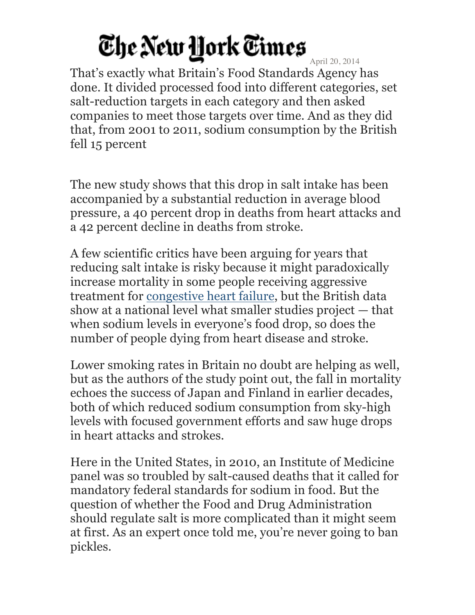April 20, 2014 That's exactly what Britain's Food Standards Agency has done. It divided processed food into different categories, set salt-reduction targets in each category and then asked companies to meet those targets over time. And as they did that, from 2001 to 2011, sodium consumption by the British fell 15 percent

The new study shows that this drop in salt intake has been accompanied by a substantial reduction in average blood pressure, a 40 percent drop in deaths from heart attacks and a 42 percent decline in deaths from stroke.

A few scientific critics have been arguing for years that reducing salt intake is risky because it might paradoxically increase mortality in some people receiving aggressive treatment for congestive heart failure, but the British data show at a national level what smaller studies project — that when sodium levels in everyone's food drop, so does the number of people dying from heart disease and stroke.

Lower smoking rates in Britain no doubt are helping as well, but as the authors of the study point out, the fall in mortality echoes the success of Japan and Finland in earlier decades, both of which reduced sodium consumption from sky-high levels with focused government efforts and saw huge drops in heart attacks and strokes.

Here in the United States, in 2010, an Institute of Medicine panel was so troubled by salt-caused deaths that it called for mandatory federal standards for sodium in food. But the question of whether the Food and Drug Administration should regulate salt is more complicated than it might seem at first. As an expert once told me, you're never going to ban pickles.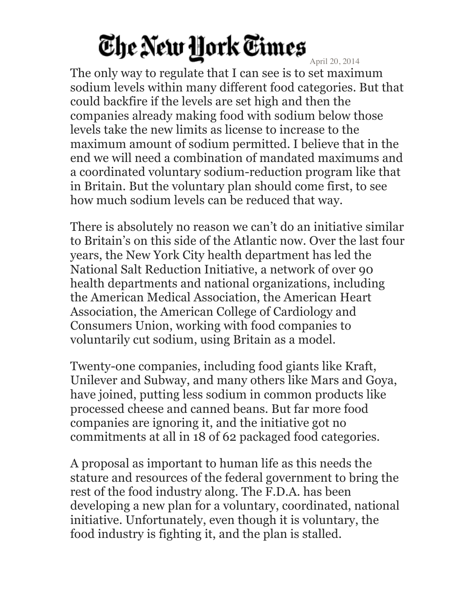April 20, 2014 The only way to regulate that I can see is to set maximum sodium levels within many different food categories. But that could backfire if the levels are set high and then the companies already making food with sodium below those levels take the new limits as license to increase to the maximum amount of sodium permitted. I believe that in the end we will need a combination of mandated maximums and a coordinated voluntary sodium-reduction program like that in Britain. But the voluntary plan should come first, to see how much sodium levels can be reduced that way.

There is absolutely no reason we can't do an initiative similar to Britain's on this side of the Atlantic now. Over the last four years, the New York City health department has led the National Salt Reduction Initiative, a network of over 90 health departments and national organizations, including the American Medical Association, the American Heart Association, the American College of Cardiology and Consumers Union, working with food companies to voluntarily cut sodium, using Britain as a model.

Twenty-one companies, including food giants like Kraft, Unilever and Subway, and many others like Mars and Goya, have joined, putting less sodium in common products like processed cheese and canned beans. But far more food companies are ignoring it, and the initiative got no commitments at all in 18 of 62 packaged food categories.

A proposal as important to human life as this needs the stature and resources of the federal government to bring the rest of the food industry along. The F.D.A. has been developing a new plan for a voluntary, coordinated, national initiative. Unfortunately, even though it is voluntary, the food industry is fighting it, and the plan is stalled.